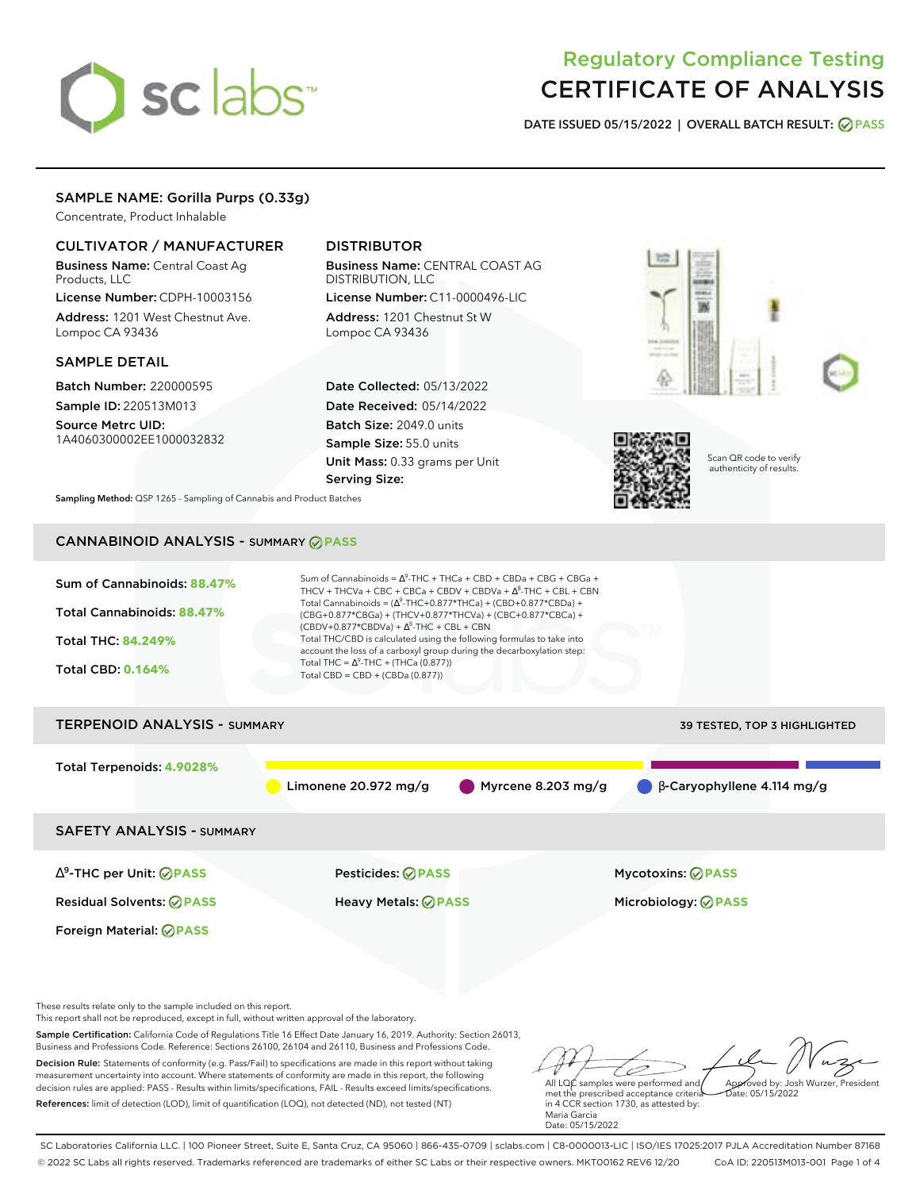# sclabs

# Regulatory Compliance Testing CERTIFICATE OF ANALYSIS

**DATE ISSUED 05/15/2022 | OVERALL BATCH RESULT: PASS**

# SAMPLE NAME: Gorilla Purps (0.33g)

Concentrate, Product Inhalable

# CULTIVATOR / MANUFACTURER

Business Name: Central Coast Ag Products, LLC

License Number: CDPH-10003156 Address: 1201 West Chestnut Ave. Lompoc CA 93436

# SAMPLE DETAIL

Batch Number: 220000595 Sample ID: 220513M013

Source Metrc UID: 1A4060300002EE1000032832

# DISTRIBUTOR

Business Name: CENTRAL COAST AG DISTRIBUTION, LLC License Number: C11-0000496-LIC

Address: 1201 Chestnut St W Lompoc CA 93436

Date Collected: 05/13/2022 Date Received: 05/14/2022 Batch Size: 2049.0 units Sample Size: 55.0 units Unit Mass: 0.33 grams per Unit Serving Size:





Scan QR code to verify authenticity of results.

**Sampling Method:** QSP 1265 - Sampling of Cannabis and Product Batches

# CANNABINOID ANALYSIS - SUMMARY **PASS**

| Sum of Cannabinoids: 88.47%<br>Total Cannabinoids: 88.47%<br><b>Total THC: 84.249%</b><br><b>Total CBD: 0.164%</b>                                                   | Sum of Cannabinoids = $\Delta^9$ -THC + THCa + CBD + CBDa + CBG + CBGa +<br>THCV + THCVa + CBC + CBCa + CBDV + CBDVa + $\Delta^8$ -THC + CBL + CBN<br>Total Cannabinoids = $(\Delta^9$ -THC+0.877*THCa) + (CBD+0.877*CBDa) +<br>(CBG+0.877*CBGa) + (THCV+0.877*THCVa) + (CBC+0.877*CBCa) +<br>$(CBDV+0.877*CBDVa) + \Delta^8$ -THC + CBL + CBN<br>Total THC/CBD is calculated using the following formulas to take into<br>account the loss of a carboxyl group during the decarboxylation step:<br>Total THC = $\Delta^9$ -THC + (THCa (0.877))<br>Total CBD = $CBD + (CBDa (0.877))$ |                                                         |
|----------------------------------------------------------------------------------------------------------------------------------------------------------------------|----------------------------------------------------------------------------------------------------------------------------------------------------------------------------------------------------------------------------------------------------------------------------------------------------------------------------------------------------------------------------------------------------------------------------------------------------------------------------------------------------------------------------------------------------------------------------------------|---------------------------------------------------------|
| <b>TERPENOID ANALYSIS - SUMMARY</b>                                                                                                                                  |                                                                                                                                                                                                                                                                                                                                                                                                                                                                                                                                                                                        | 39 TESTED, TOP 3 HIGHLIGHTED                            |
| Total Terpenoids: 4.9028%                                                                                                                                            | Limonene $20.972$ mg/g                                                                                                                                                                                                                                                                                                                                                                                                                                                                                                                                                                 | $\beta$ -Caryophyllene 4.114 mg/g<br>Myrcene 8.203 mg/g |
| <b>SAFETY ANALYSIS - SUMMARY</b>                                                                                                                                     |                                                                                                                                                                                                                                                                                                                                                                                                                                                                                                                                                                                        |                                                         |
| $\Delta^9$ -THC per Unit: $\bigcirc$ PASS                                                                                                                            | <b>Pesticides: ⊘ PASS</b>                                                                                                                                                                                                                                                                                                                                                                                                                                                                                                                                                              | <b>Mycotoxins: ⊘PASS</b>                                |
| <b>Residual Solvents: ⊘PASS</b>                                                                                                                                      | Heavy Metals: <b>⊘ PASS</b>                                                                                                                                                                                                                                                                                                                                                                                                                                                                                                                                                            | Microbiology: <b>⊘PASS</b>                              |
| Foreign Material: <b>⊘ PASS</b>                                                                                                                                      |                                                                                                                                                                                                                                                                                                                                                                                                                                                                                                                                                                                        |                                                         |
| These results relate only to the sample included on this report.<br>This report shall not be reproduced, except in full, without written approval of the laboratory. |                                                                                                                                                                                                                                                                                                                                                                                                                                                                                                                                                                                        |                                                         |

Sample Certification: California Code of Regulations Title 16 Effect Date January 16, 2019. Authority: Section 26013, Business and Professions Code. Reference: Sections 26100, 26104 and 26110, Business and Professions Code. Decision Rule: Statements of conformity (e.g. Pass/Fail) to specifications are made in this report without taking measurement uncertainty into account. Where statements of conformity are made in this report, the following decision rules are applied: PASS - Results within limits/specifications, FAIL - Results exceed limits/specifications. References: limit of detection (LOD), limit of quantification (LOQ), not detected (ND), not tested (NT)

D All LQC samples were performed and Approved by: Josh Wurzer, President Date: 05/15/2022

met the prescribed acceptance criteria in 4 CCR section 1730, as attested by: Maria Garcia Date: 05/15/2022

SC Laboratories California LLC. | 100 Pioneer Street, Suite E, Santa Cruz, CA 95060 | 866-435-0709 | sclabs.com | C8-0000013-LIC | ISO/IES 17025:2017 PJLA Accreditation Number 87168 © 2022 SC Labs all rights reserved. Trademarks referenced are trademarks of either SC Labs or their respective owners. MKT00162 REV6 12/20 CoA ID: 220513M013-001 Page 1 of 4